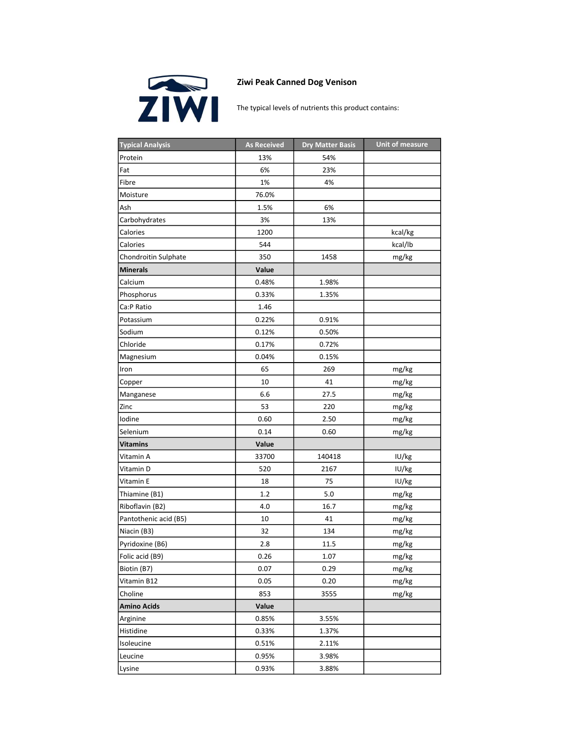

## Ziwi Peak Canned Dog Venison

The typical levels of nutrients this product contains:

| <b>Typical Analysis</b> | <b>As Received</b> | <b>Dry Matter Basis</b> | <b>Unit of measure</b> |
|-------------------------|--------------------|-------------------------|------------------------|
| Protein                 | 13%                | 54%                     |                        |
| Fat                     | 6%                 | 23%                     |                        |
| Fibre                   | 1%                 | 4%                      |                        |
| Moisture                | 76.0%              |                         |                        |
| Ash                     | 1.5%               | 6%                      |                        |
| Carbohydrates           | 3%                 | 13%                     |                        |
| Calories                | 1200               |                         | kcal/kg                |
| Calories                | 544                |                         | kcal/lb                |
| Chondroitin Sulphate    | 350                | 1458                    | mg/kg                  |
| <b>Minerals</b>         | Value              |                         |                        |
| Calcium                 | 0.48%              | 1.98%                   |                        |
| Phosphorus              | 0.33%              | 1.35%                   |                        |
| Ca:P Ratio              | 1.46               |                         |                        |
| Potassium               | 0.22%              | 0.91%                   |                        |
| Sodium                  | 0.12%              | 0.50%                   |                        |
| Chloride                | 0.17%              | 0.72%                   |                        |
| Magnesium               | 0.04%              | 0.15%                   |                        |
| Iron                    | 65                 | 269                     | mg/kg                  |
| Copper                  | 10                 | 41                      | mg/kg                  |
| Manganese               | 6.6                | 27.5                    | mg/kg                  |
| Zinc                    | 53                 | 220                     | mg/kg                  |
| Iodine                  | 0.60               | 2.50                    | mg/kg                  |
| Selenium                | 0.14               | 0.60                    | mg/kg                  |
| Vitamins                | Value              |                         |                        |
| Vitamin A               | 33700              | 140418                  | IU/kg                  |
| Vitamin D               | 520                | 2167                    | IU/kg                  |
| Vitamin E               | 18                 | 75                      | IU/kg                  |
| Thiamine (B1)           | $1.2\,$            | 5.0                     | mg/kg                  |
| Riboflavin (B2)         | 4.0                | 16.7                    | mg/kg                  |
| Pantothenic acid (B5)   | 10                 | 41                      | mg/kg                  |
| Niacin (B3)             | 32                 | 134                     | mg/kg                  |
| Pyridoxine (B6)         | 2.8                | 11.5                    | mg/kg                  |
| Folic acid (B9)         | 0.26               | 1.07                    | mg/kg                  |
| Biotin (B7)             | 0.07               | 0.29                    | mg/kg                  |
| Vitamin B12             | 0.05               | 0.20                    | mg/kg                  |
| Choline                 | 853                | 3555                    | mg/kg                  |
| <b>Amino Acids</b>      | Value              |                         |                        |
| Arginine                | 0.85%              | 3.55%                   |                        |
| Histidine               | 0.33%              | 1.37%                   |                        |
| Isoleucine              | 0.51%              | 2.11%                   |                        |
| Leucine                 | 0.95%              | 3.98%                   |                        |
| Lysine                  | 0.93%              | 3.88%                   |                        |